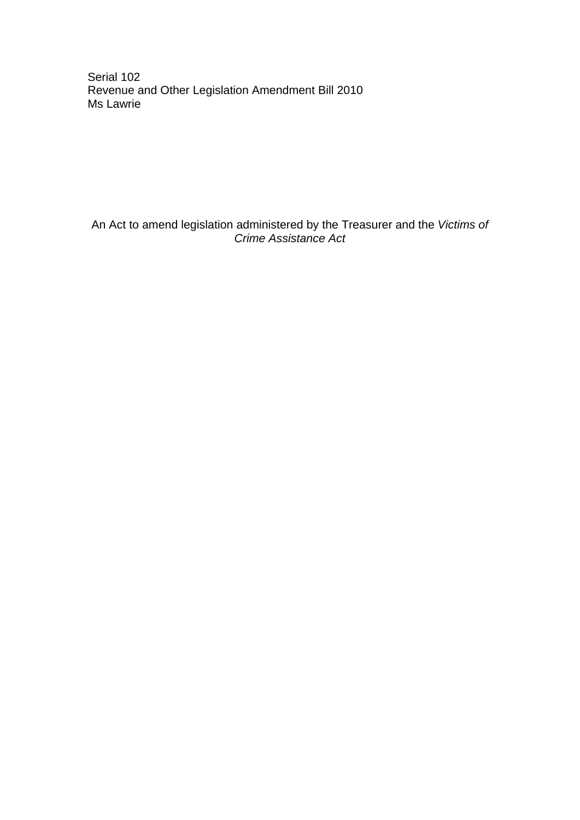Serial 102 Revenue and Other Legislation Amendment Bill 2010 Ms Lawrie

An Act to amend legislation administered by the Treasurer and the *Victims of Crime Assistance Act*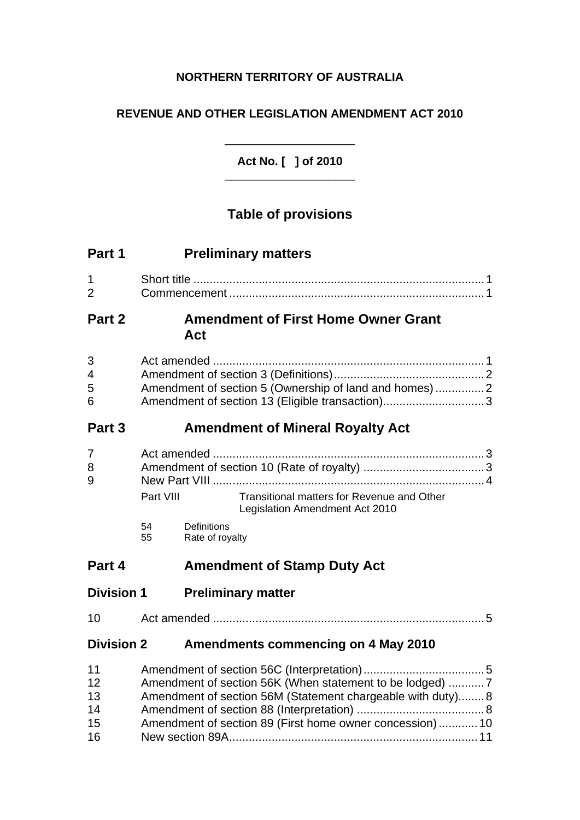# **NORTHERN TERRITORY OF AUSTRALIA**

## **REVENUE AND OTHER LEGISLATION AMENDMENT ACT 2010**

**Act No. [ ] of 2010**  \_\_\_\_\_\_\_\_\_\_\_\_\_\_\_\_\_\_\_\_

 $\mathcal{L}_\text{max}$  , we can also the contract of  $\mathcal{L}_\text{max}$ 

# **Table of provisions**

| Part 1                                  |                                                                                                                                                                                      | <b>Preliminary matters</b>                                                                               |  |
|-----------------------------------------|--------------------------------------------------------------------------------------------------------------------------------------------------------------------------------------|----------------------------------------------------------------------------------------------------------|--|
| $\mathbf 1$<br>$\overline{2}$           |                                                                                                                                                                                      |                                                                                                          |  |
| Part 2                                  |                                                                                                                                                                                      | <b>Amendment of First Home Owner Grant</b><br>Act                                                        |  |
| 3<br>$\overline{\mathcal{A}}$<br>5<br>6 |                                                                                                                                                                                      | Amendment of section 5 (Ownership of land and homes)2<br>Amendment of section 13 (Eligible transaction)3 |  |
| Part 3                                  |                                                                                                                                                                                      | <b>Amendment of Mineral Royalty Act</b>                                                                  |  |
| 7<br>8<br>9                             | Part VIII                                                                                                                                                                            | Transitional matters for Revenue and Other<br>Legislation Amendment Act 2010                             |  |
|                                         | 54<br>55                                                                                                                                                                             | Definitions<br>Rate of royalty                                                                           |  |
| Part 4                                  |                                                                                                                                                                                      | <b>Amendment of Stamp Duty Act</b>                                                                       |  |
| <b>Division 1</b>                       |                                                                                                                                                                                      | <b>Preliminary matter</b>                                                                                |  |
| 10                                      |                                                                                                                                                                                      |                                                                                                          |  |
| <b>Division 2</b>                       |                                                                                                                                                                                      | <b>Amendments commencing on 4 May 2010</b>                                                               |  |
| 11<br>12<br>13<br>14<br>15<br>16        | Amendment of section 56K (When statement to be lodged) 7<br>Amendment of section 56M (Statement chargeable with duty) 8<br>Amendment of section 89 (First home owner concession)  10 |                                                                                                          |  |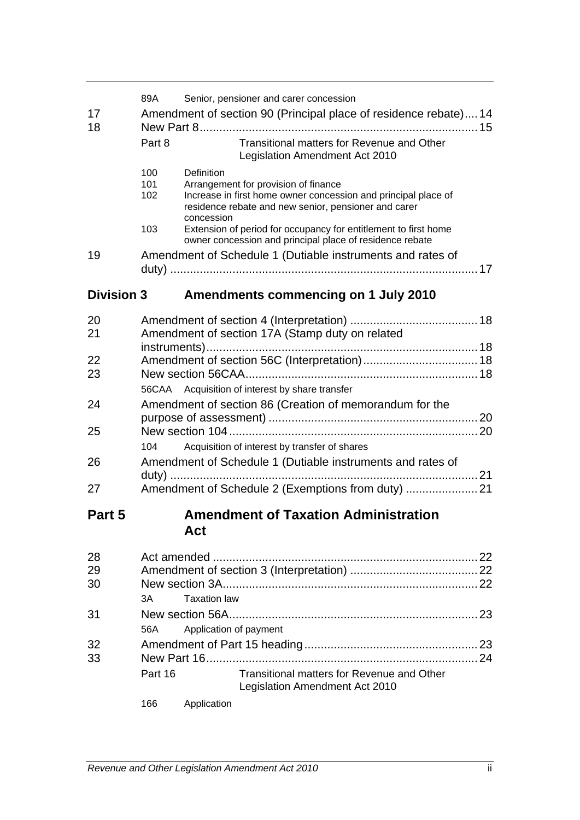| 17<br>18          | 89A               | Senior, pensioner and carer concession<br>Amendment of section 90 (Principal place of residence rebate) 14                                                                                 |  |
|-------------------|-------------------|--------------------------------------------------------------------------------------------------------------------------------------------------------------------------------------------|--|
|                   | Part 8            | Transitional matters for Revenue and Other<br>Legislation Amendment Act 2010                                                                                                               |  |
|                   | 100<br>101<br>102 | Definition<br>Arrangement for provision of finance<br>Increase in first home owner concession and principal place of<br>residence rebate and new senior, pensioner and carer<br>concession |  |
|                   | 103               | Extension of period for occupancy for entitlement to first home<br>owner concession and principal place of residence rebate                                                                |  |
| 19                |                   | Amendment of Schedule 1 (Dutiable instruments and rates of                                                                                                                                 |  |
| <b>Division 3</b> |                   | <b>Amendments commencing on 1 July 2010</b>                                                                                                                                                |  |
| 20<br>21          |                   | Amendment of section 17A (Stamp duty on related                                                                                                                                            |  |
| 22<br>23          |                   |                                                                                                                                                                                            |  |
| 24                | 56CAA             | Acquisition of interest by share transfer<br>Amendment of section 86 (Creation of memorandum for the                                                                                       |  |
| 25                | 104               | Acquisition of interest by transfer of shares                                                                                                                                              |  |
| 26                |                   | Amendment of Schedule 1 (Dutiable instruments and rates of                                                                                                                                 |  |
| 27                |                   | Amendment of Schedule 2 (Exemptions from duty)                                                                                                                                             |  |
| Part 5            |                   | <b>Amendment of Taxation Administration</b><br>Act                                                                                                                                         |  |
| 28<br>29<br>30    | 3A                | <b>Taxation law</b>                                                                                                                                                                        |  |
| 31                | 56A               | Application of payment                                                                                                                                                                     |  |
| 32<br>33          | Part 16<br>166    | Transitional matters for Revenue and Other<br>Legislation Amendment Act 2010<br>Application                                                                                                |  |
|                   |                   |                                                                                                                                                                                            |  |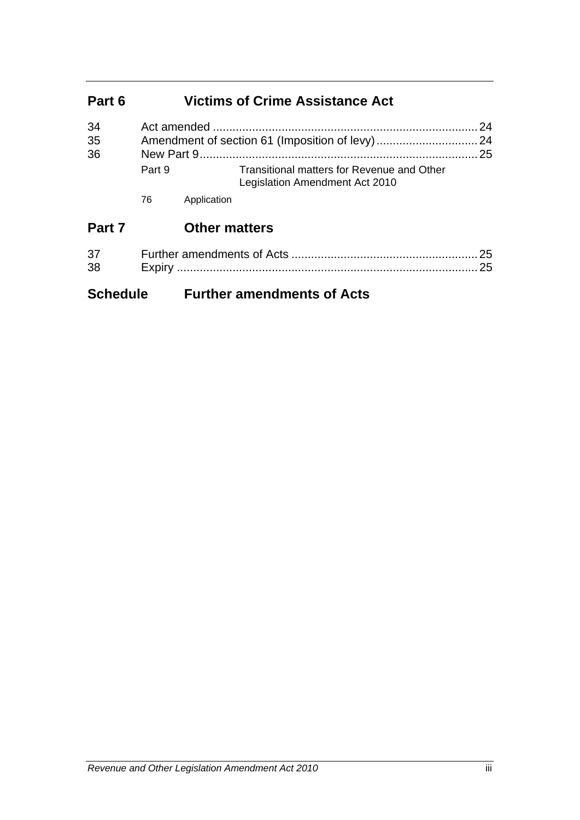# **Part 6 Victims of Crime Assistance Act**

| 34 |        |                                                                              |  |
|----|--------|------------------------------------------------------------------------------|--|
| 35 |        |                                                                              |  |
| 36 |        |                                                                              |  |
|    | Part 9 | Transitional matters for Revenue and Other<br>Legislation Amendment Act 2010 |  |

76 Application

# **Part 7 Other matters**

| 37 |        |  |
|----|--------|--|
| 38 | Expirv |  |

# **Schedule Further amendments of Acts**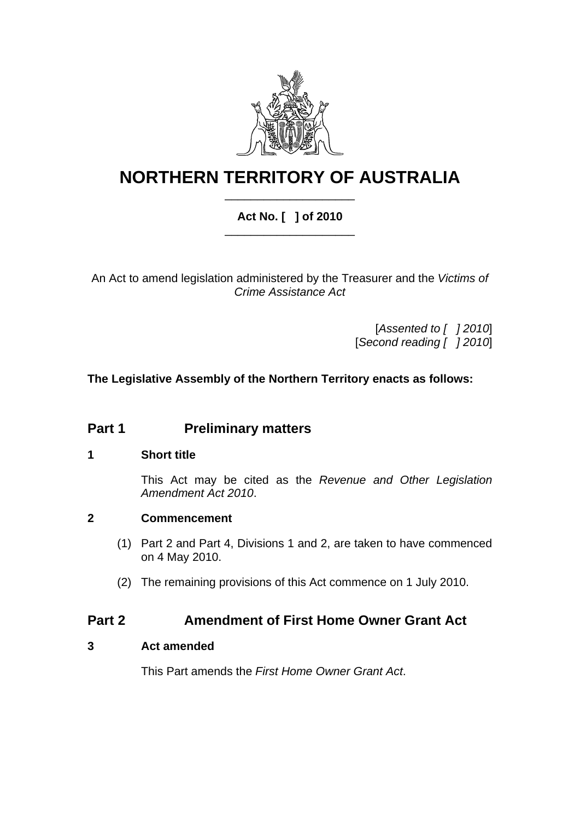

# **NORTHERN TERRITORY OF AUSTRALIA** \_\_\_\_\_\_\_\_\_\_\_\_\_\_\_\_\_\_\_\_

### **Act No. [ ] of 2010**  \_\_\_\_\_\_\_\_\_\_\_\_\_\_\_\_\_\_\_\_

An Act to amend legislation administered by the Treasurer and the *Victims of Crime Assistance Act*

> [*Assented to [ ] 2010*] [*Second reading [ ] 2010*]

### **The Legislative Assembly of the Northern Territory enacts as follows:**

# **Part 1** Preliminary matters

### <span id="page-4-0"></span>**1 Short title**

This Act may be cited as the *Revenue and Other Legislation Amendment Act 2010*.

#### <span id="page-4-1"></span>**2 Commencement**

- (1) Part 2 and Part 4, Divisions 1 and 2, are taken to have commenced on 4 May 2010.
- (2) The remaining provisions of this Act commence on 1 July 2010.

## **Part 2 Amendment of First Home Owner Grant Act**

### <span id="page-4-2"></span>**3 Act amended**

This Part amends the *First Home Owner Grant Act*.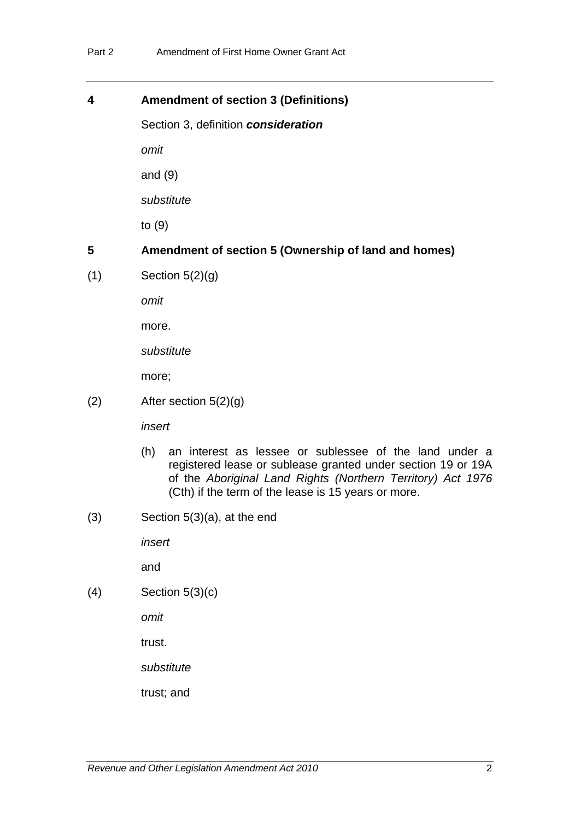#### <span id="page-5-0"></span>**4 Amendment of section 3 (Definitions)**

Section 3, definition *consideration*

*omit* 

and (9)

*substitute* 

to (9)

## <span id="page-5-1"></span>**5 Amendment of section 5 (Ownership of land and homes)**

 $(1)$  Section  $5(2)(q)$ 

*omit* 

more.

*substitute* 

more;

(2) After section 5(2)(g)

*insert* 

- (h) an interest as lessee or sublessee of the land under a registered lease or sublease granted under section 19 or 19A of the *Aboriginal Land Rights (Northern Territory) Act 1976* (Cth) if the term of the lease is 15 years or more.
- (3) Section 5(3)(a), at the end

*insert* 

and

(4) Section 5(3)(c)

*omit* 

trust.

*substitute* 

trust; and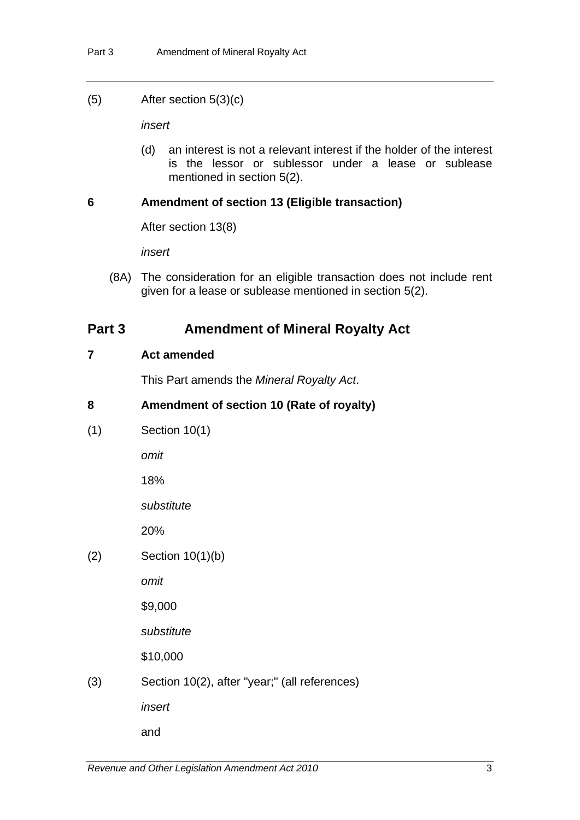(5) After section 5(3)(c)

*insert* 

(d) an interest is not a relevant interest if the holder of the interest is the lessor or sublessor under a lease or sublease mentioned in section 5(2).

#### <span id="page-6-0"></span>**6 Amendment of section 13 (Eligible transaction)**

After section 13(8)

*insert* 

 (8A) The consideration for an eligible transaction does not include rent given for a lease or sublease mentioned in section 5(2).

### **Part 3** Amendment of Mineral Royalty Act

#### <span id="page-6-1"></span>**7 Act amended**

This Part amends the *Mineral Royalty Act*.

### <span id="page-6-2"></span>**8 Amendment of section 10 (Rate of royalty)**

(1) Section 10(1)

*omit*

18%

*substitute*

20%

(2) Section 10(1)(b)

*omit*

\$9,000

*substitute*

\$10,000

(3) Section 10(2), after "year;" (all references)

*insert*

and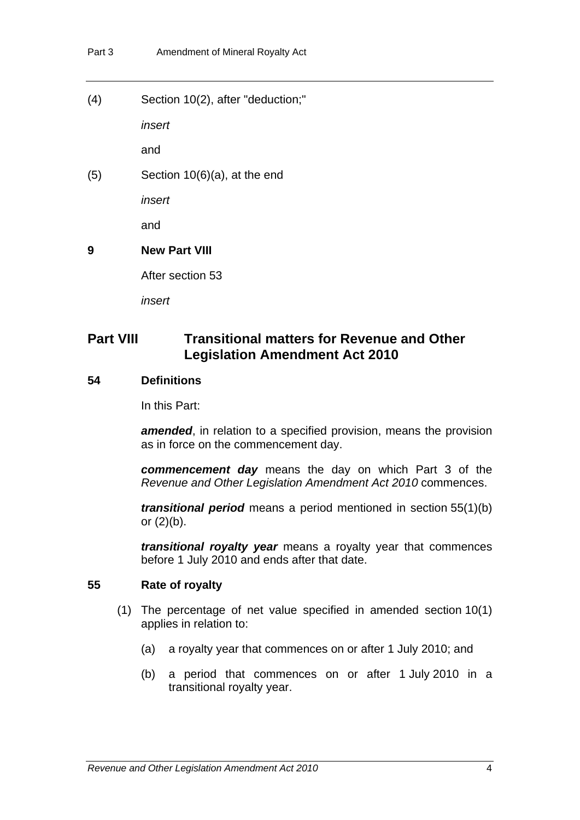(4) Section 10(2), after "deduction;"

*insert*

and

(5) Section 10(6)(a), at the end

*insert*

and

### <span id="page-7-0"></span>**9 New Part VIII**

After section 53

*insert*

# **Part VIII Transitional matters for Revenue and Other Legislation Amendment Act 2010**

### **54 Definitions**

In this Part:

**amended**, in relation to a specified provision, means the provision as in force on the commencement day.

*commencement day* means the day on which Part 3 of the *Revenue and Other Legislation Amendment Act 2010* commences.

*transitional period* means a period mentioned in section 55(1)(b) or  $(2)(b)$ .

*transitional royalty year* means a royalty year that commences before 1 July 2010 and ends after that date.

#### **55 Rate of royalty**

- (1) The percentage of net value specified in amended section 10(1) applies in relation to:
	- (a) a royalty year that commences on or after 1 July 2010; and
	- (b) a period that commences on or after 1 July 2010 in a transitional royalty year.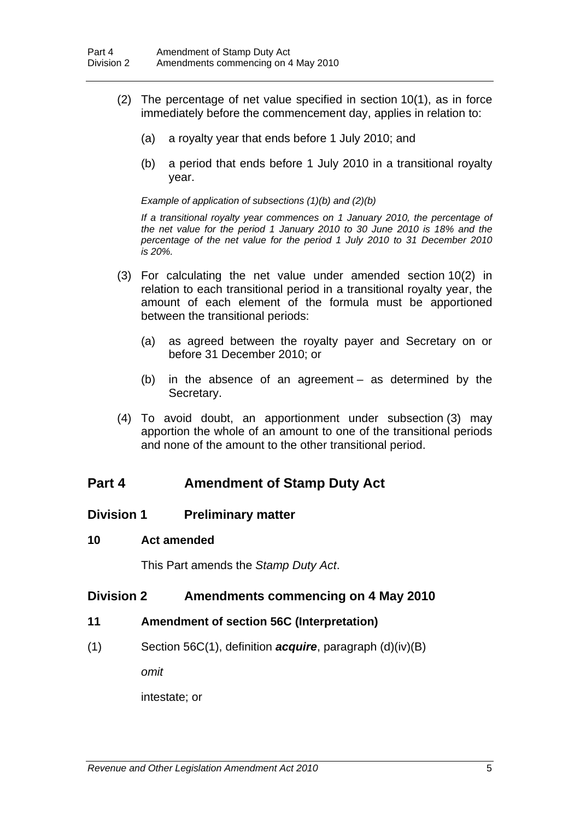- (2) The percentage of net value specified in section 10(1), as in force immediately before the commencement day, applies in relation to:
	- (a) a royalty year that ends before 1 July 2010; and
	- (b) a period that ends before 1 July 2010 in a transitional royalty year.

*Example of application of subsections (1)(b) and (2)(b)* 

*If a transitional royalty year commences on 1 January 2010, the percentage of the net value for the period 1 January 2010 to 30 June 2010 is 18% and the percentage of the net value for the period 1 July 2010 to 31 December 2010 is 20%.* 

- (3) For calculating the net value under amended section 10(2) in relation to each transitional period in a transitional royalty year, the amount of each element of the formula must be apportioned between the transitional periods:
	- (a) as agreed between the royalty payer and Secretary on or before 31 December 2010; or
	- (b) in the absence of an agreement as determined by the Secretary.
- (4) To avoid doubt, an apportionment under subsection (3) may apportion the whole of an amount to one of the transitional periods and none of the amount to the other transitional period.

## **Part 4 Amendment of Stamp Duty Act**

#### **Division 1 Preliminary matter**

#### <span id="page-8-0"></span>**10 Act amended**

This Part amends the *Stamp Duty Act*.

### **Division 2 Amendments commencing on 4 May 2010**

- <span id="page-8-1"></span>**11 Amendment of section 56C (Interpretation)**
- (1) Section 56C(1), definition *acquire*, paragraph (d)(iv)(B)

*omit* 

intestate; or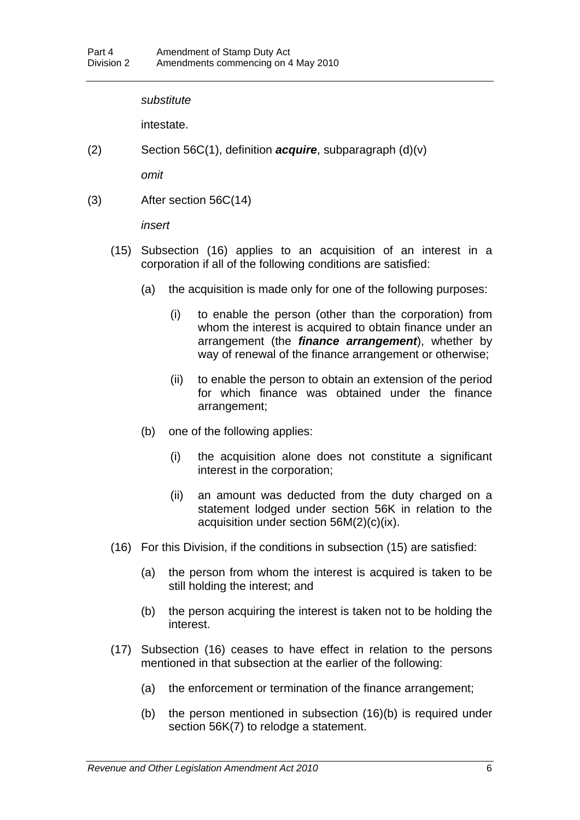#### *substitute*

intestate.

(2) Section 56C(1), definition *acquire*, subparagraph (d)(v)

*omit* 

(3) After section 56C(14)

*insert* 

- (15) Subsection (16) applies to an acquisition of an interest in a corporation if all of the following conditions are satisfied:
	- (a) the acquisition is made only for one of the following purposes:
		- (i) to enable the person (other than the corporation) from whom the interest is acquired to obtain finance under an arrangement (the *finance arrangement*), whether by way of renewal of the finance arrangement or otherwise;
		- (ii) to enable the person to obtain an extension of the period for which finance was obtained under the finance arrangement;
	- (b) one of the following applies:
		- (i) the acquisition alone does not constitute a significant interest in the corporation;
		- (ii) an amount was deducted from the duty charged on a statement lodged under section 56K in relation to the acquisition under section 56M(2)(c)(ix).
- (16) For this Division, if the conditions in subsection (15) are satisfied:
	- (a) the person from whom the interest is acquired is taken to be still holding the interest; and
	- (b) the person acquiring the interest is taken not to be holding the interest.
- (17) Subsection (16) ceases to have effect in relation to the persons mentioned in that subsection at the earlier of the following:
	- (a) the enforcement or termination of the finance arrangement;
	- (b) the person mentioned in subsection (16)(b) is required under section 56K(7) to relodge a statement.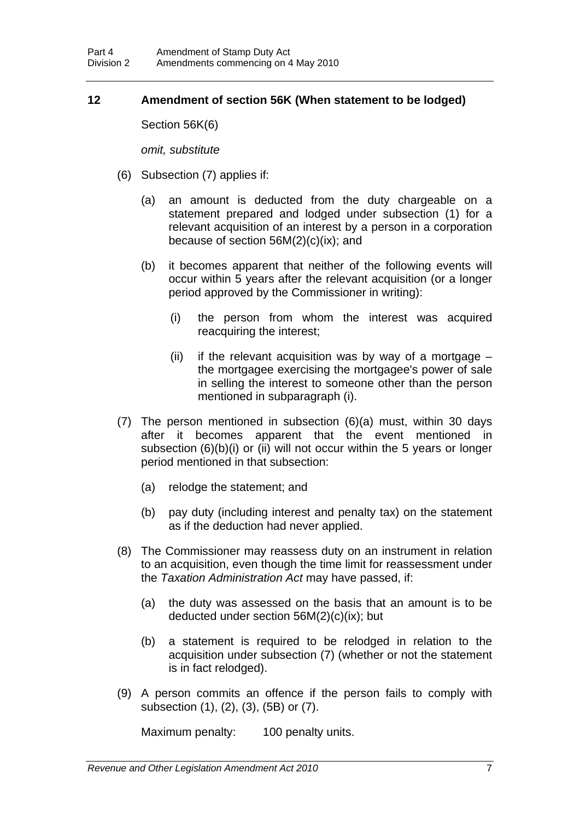### <span id="page-10-0"></span>**12 Amendment of section 56K (When statement to be lodged)**

Section 56K(6)

*omit, substitute* 

- (6) Subsection (7) applies if:
	- (a) an amount is deducted from the duty chargeable on a statement prepared and lodged under subsection (1) for a relevant acquisition of an interest by a person in a corporation because of section 56M(2)(c)(ix); and
	- (b) it becomes apparent that neither of the following events will occur within 5 years after the relevant acquisition (or a longer period approved by the Commissioner in writing):
		- (i) the person from whom the interest was acquired reacquiring the interest;
		- (ii) if the relevant acquisition was by way of a mortgage  $$ the mortgagee exercising the mortgagee's power of sale in selling the interest to someone other than the person mentioned in subparagraph (i).
- (7) The person mentioned in subsection (6)(a) must, within 30 days after it becomes apparent that the event mentioned in subsection (6)(b)(i) or (ii) will not occur within the 5 years or longer period mentioned in that subsection:
	- (a) relodge the statement; and
	- (b) pay duty (including interest and penalty tax) on the statement as if the deduction had never applied.
- (8) The Commissioner may reassess duty on an instrument in relation to an acquisition, even though the time limit for reassessment under the *Taxation Administration Act* may have passed, if:
	- (a) the duty was assessed on the basis that an amount is to be deducted under section 56M(2)(c)(ix); but
	- (b) a statement is required to be relodged in relation to the acquisition under subsection (7) (whether or not the statement is in fact relodged).
- (9) A person commits an offence if the person fails to comply with subsection (1), (2), (3), (5B) or (7).

Maximum penalty: 100 penalty units.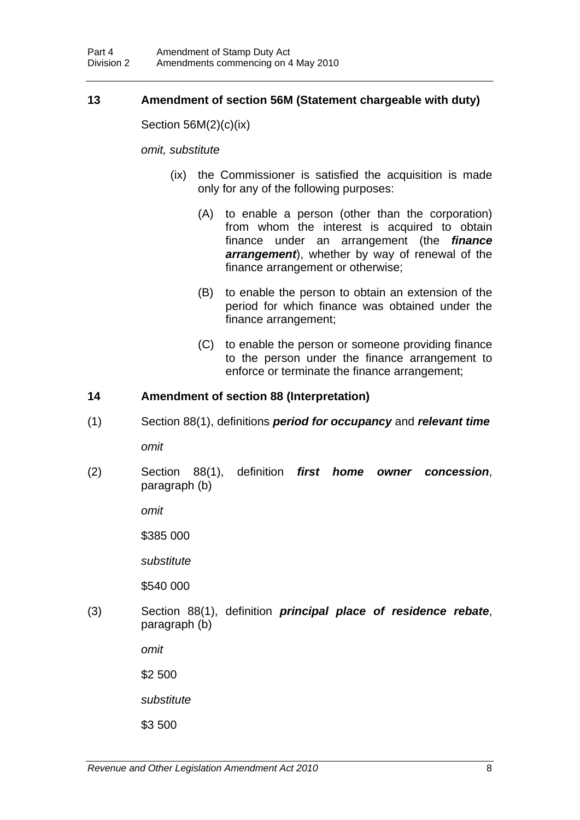#### <span id="page-11-0"></span>**13 Amendment of section 56M (Statement chargeable with duty)**

Section 56M(2)(c)(ix)

*omit, substitute* 

- (ix) the Commissioner is satisfied the acquisition is made only for any of the following purposes:
	- (A) to enable a person (other than the corporation) from whom the interest is acquired to obtain finance under an arrangement (the *finance arrangement*), whether by way of renewal of the finance arrangement or otherwise;
	- (B) to enable the person to obtain an extension of the period for which finance was obtained under the finance arrangement;
	- (C) to enable the person or someone providing finance to the person under the finance arrangement to enforce or terminate the finance arrangement;

#### <span id="page-11-1"></span>**14 Amendment of section 88 (Interpretation)**

(1) Section 88(1), definitions *period for occupancy* and *relevant time*

*omit* 

(2) Section 88(1), definition *first home owner concession*, paragraph (b)

*omit* 

\$385 000

*substitute* 

\$540 000

(3) Section 88(1), definition *principal place of residence rebate*, paragraph (b)

*omit* 

\$2 500

*substitute* 

\$3 500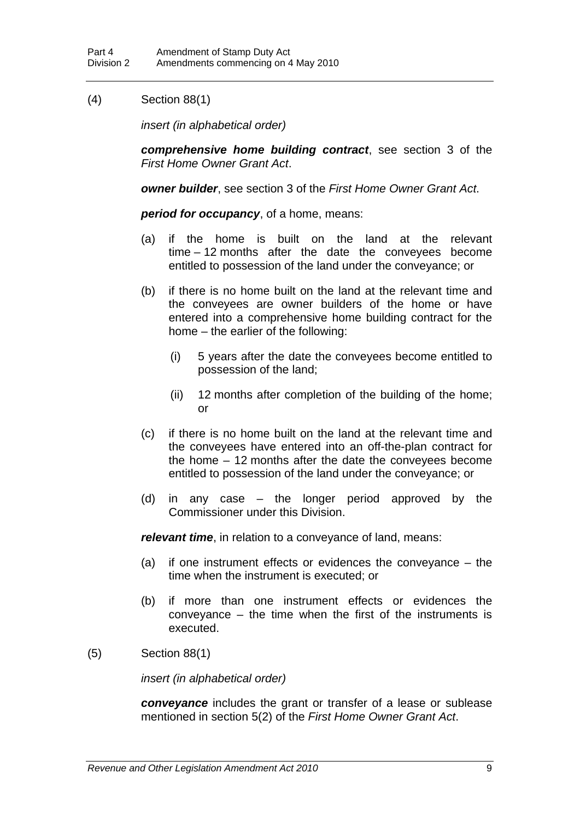### (4) Section 88(1)

*insert (in alphabetical order)* 

*comprehensive home building contract*, see section 3 of the *First Home Owner Grant Act*.

*owner builder*, see section 3 of the *First Home Owner Grant Act*.

*period for occupancy*, of a home, means:

- (a) if the home is built on the land at the relevant time – 12 months after the date the conveyees become entitled to possession of the land under the conveyance; or
- (b) if there is no home built on the land at the relevant time and the conveyees are owner builders of the home or have entered into a comprehensive home building contract for the home – the earlier of the following:
	- (i) 5 years after the date the conveyees become entitled to possession of the land;
	- (ii) 12 months after completion of the building of the home; or
- (c) if there is no home built on the land at the relevant time and the conveyees have entered into an off-the-plan contract for the home – 12 months after the date the conveyees become entitled to possession of the land under the conveyance; or
- (d) in any case the longer period approved by the Commissioner under this Division.

*relevant time*, in relation to a conveyance of land, means:

- (a) if one instrument effects or evidences the conveyance the time when the instrument is executed; or
- (b) if more than one instrument effects or evidences the conveyance – the time when the first of the instruments is executed.
- (5) Section 88(1)

*insert (in alphabetical order)* 

*conveyance* includes the grant or transfer of a lease or sublease mentioned in section 5(2) of the *First Home Owner Grant Act*.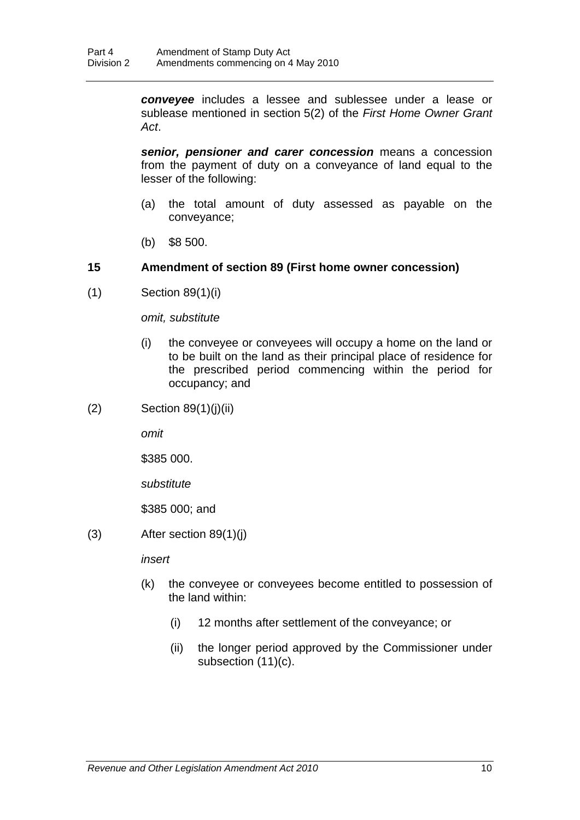*conveyee* includes a lessee and sublessee under a lease or sublease mentioned in section 5(2) of the *First Home Owner Grant Act*.

*senior, pensioner and carer concession* means a concession from the payment of duty on a conveyance of land equal to the lesser of the following:

- (a) the total amount of duty assessed as payable on the conveyance;
- (b) \$8 500.

### <span id="page-13-0"></span>**15 Amendment of section 89 (First home owner concession)**

(1) Section 89(1)(i)

*omit, substitute* 

- (i) the conveyee or conveyees will occupy a home on the land or to be built on the land as their principal place of residence for the prescribed period commencing within the period for occupancy; and
- $(2)$  Section 89 $(1)(j)(ii)$

*omit* 

\$385 000.

*substitute* 

\$385 000; and

 $(3)$  After section  $89(1)(i)$ 

*insert* 

- (k) the conveyee or conveyees become entitled to possession of the land within:
	- (i) 12 months after settlement of the conveyance; or
	- (ii) the longer period approved by the Commissioner under subsection (11)(c).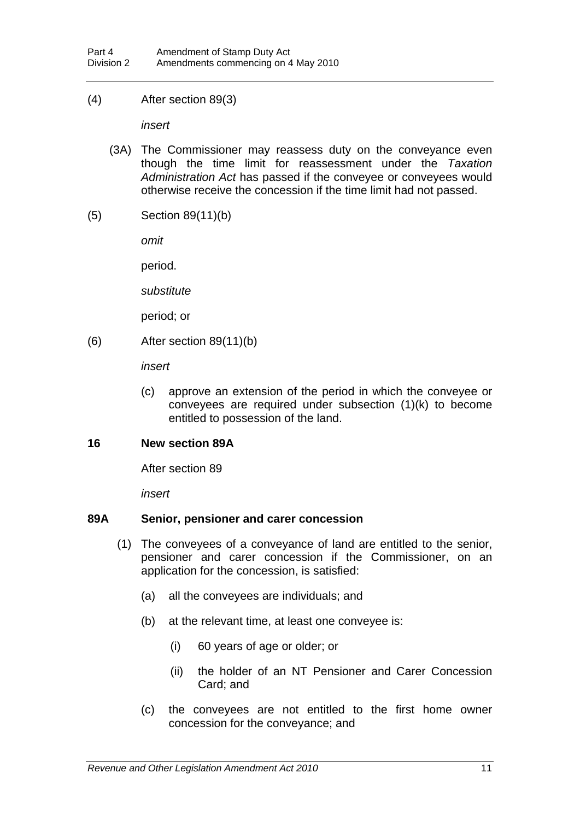(4) After section 89(3)

*insert* 

- (3A) The Commissioner may reassess duty on the conveyance even though the time limit for reassessment under the *Taxation Administration Act* has passed if the conveyee or conveyees would otherwise receive the concession if the time limit had not passed.
- (5) Section 89(11)(b)

*omit* 

period.

*substitute* 

period; or

(6) After section 89(11)(b)

*insert* 

(c) approve an extension of the period in which the conveyee or conveyees are required under subsection (1)(k) to become entitled to possession of the land.

#### <span id="page-14-0"></span>**16 New section 89A**

After section 89

*insert* 

#### **89A Senior, pensioner and carer concession**

- (1) The conveyees of a conveyance of land are entitled to the senior, pensioner and carer concession if the Commissioner, on an application for the concession, is satisfied:
	- (a) all the conveyees are individuals; and
	- (b) at the relevant time, at least one conveyee is:
		- (i) 60 years of age or older; or
		- (ii) the holder of an NT Pensioner and Carer Concession Card; and
	- (c) the conveyees are not entitled to the first home owner concession for the conveyance; and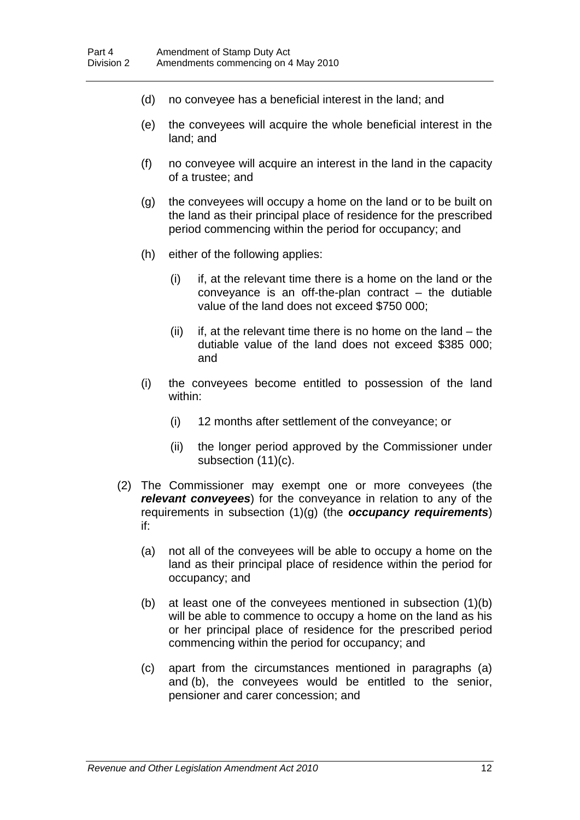- (d) no conveyee has a beneficial interest in the land; and
- (e) the conveyees will acquire the whole beneficial interest in the land; and
- (f) no conveyee will acquire an interest in the land in the capacity of a trustee; and
- (g) the conveyees will occupy a home on the land or to be built on the land as their principal place of residence for the prescribed period commencing within the period for occupancy; and
- (h) either of the following applies:
	- (i) if, at the relevant time there is a home on the land or the conveyance is an off-the-plan contract – the dutiable value of the land does not exceed \$750 000;
	- (ii) if, at the relevant time there is no home on the land  $-$  the dutiable value of the land does not exceed \$385 000; and
- (i) the conveyees become entitled to possession of the land within:
	- (i) 12 months after settlement of the conveyance; or
	- (ii) the longer period approved by the Commissioner under subsection (11)(c).
- (2) The Commissioner may exempt one or more conveyees (the *relevant conveyees*) for the conveyance in relation to any of the requirements in subsection (1)(g) (the *occupancy requirements*) if:
	- (a) not all of the conveyees will be able to occupy a home on the land as their principal place of residence within the period for occupancy; and
	- (b) at least one of the conveyees mentioned in subsection (1)(b) will be able to commence to occupy a home on the land as his or her principal place of residence for the prescribed period commencing within the period for occupancy; and
	- (c) apart from the circumstances mentioned in paragraphs (a) and (b), the conveyees would be entitled to the senior, pensioner and carer concession; and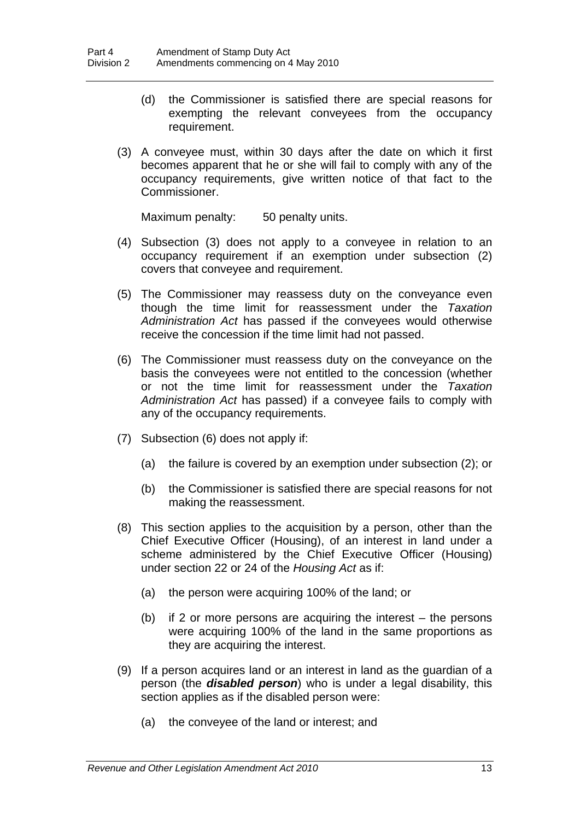- (d) the Commissioner is satisfied there are special reasons for exempting the relevant conveyees from the occupancy requirement.
- (3) A conveyee must, within 30 days after the date on which it first becomes apparent that he or she will fail to comply with any of the occupancy requirements, give written notice of that fact to the Commissioner.

Maximum penalty: 50 penalty units.

- (4) Subsection (3) does not apply to a conveyee in relation to an occupancy requirement if an exemption under subsection (2) covers that conveyee and requirement.
- (5) The Commissioner may reassess duty on the conveyance even though the time limit for reassessment under the *Taxation Administration Act* has passed if the conveyees would otherwise receive the concession if the time limit had not passed.
- (6) The Commissioner must reassess duty on the conveyance on the basis the conveyees were not entitled to the concession (whether or not the time limit for reassessment under the *Taxation Administration Act* has passed) if a conveyee fails to comply with any of the occupancy requirements.
- (7) Subsection (6) does not apply if:
	- (a) the failure is covered by an exemption under subsection (2); or
	- (b) the Commissioner is satisfied there are special reasons for not making the reassessment.
- (8) This section applies to the acquisition by a person, other than the Chief Executive Officer (Housing), of an interest in land under a scheme administered by the Chief Executive Officer (Housing) under section 22 or 24 of the *Housing Act* as if:
	- (a) the person were acquiring 100% of the land; or
	- (b) if 2 or more persons are acquiring the interest the persons were acquiring 100% of the land in the same proportions as they are acquiring the interest.
- (9) If a person acquires land or an interest in land as the guardian of a person (the *disabled person*) who is under a legal disability, this section applies as if the disabled person were:
	- (a) the conveyee of the land or interest; and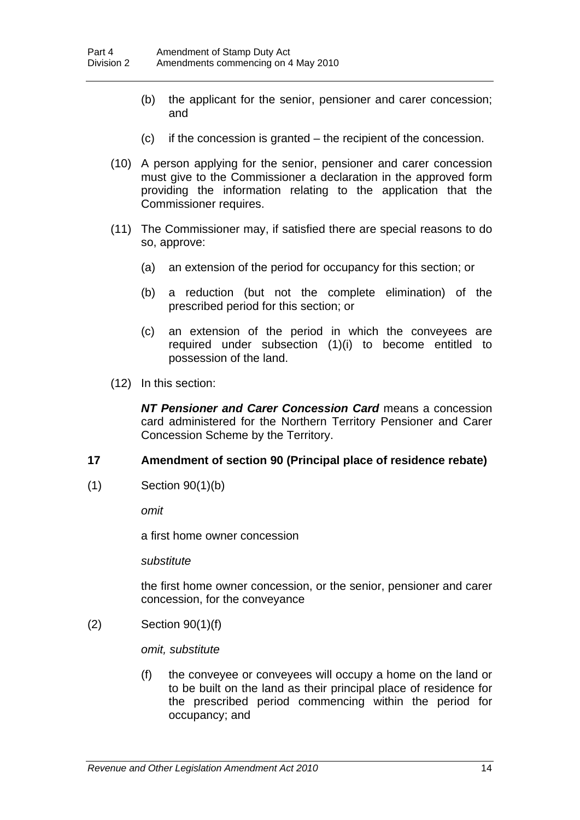- (b) the applicant for the senior, pensioner and carer concession; and
- (c) if the concession is granted the recipient of the concession.
- (10) A person applying for the senior, pensioner and carer concession must give to the Commissioner a declaration in the approved form providing the information relating to the application that the Commissioner requires.
- (11) The Commissioner may, if satisfied there are special reasons to do so, approve:
	- (a) an extension of the period for occupancy for this section; or
	- (b) a reduction (but not the complete elimination) of the prescribed period for this section; or
	- (c) an extension of the period in which the conveyees are required under subsection (1)(i) to become entitled to possession of the land.
- (12) In this section:

*NT Pensioner and Carer Concession Card* means a concession card administered for the Northern Territory Pensioner and Carer Concession Scheme by the Territory.

#### <span id="page-17-0"></span>**17 Amendment of section 90 (Principal place of residence rebate)**

(1) Section 90(1)(b)

*omit* 

a first home owner concession

*substitute* 

the first home owner concession, or the senior, pensioner and carer concession, for the conveyance

(2) Section 90(1)(f)

*omit, substitute* 

(f) the conveyee or conveyees will occupy a home on the land or to be built on the land as their principal place of residence for the prescribed period commencing within the period for occupancy; and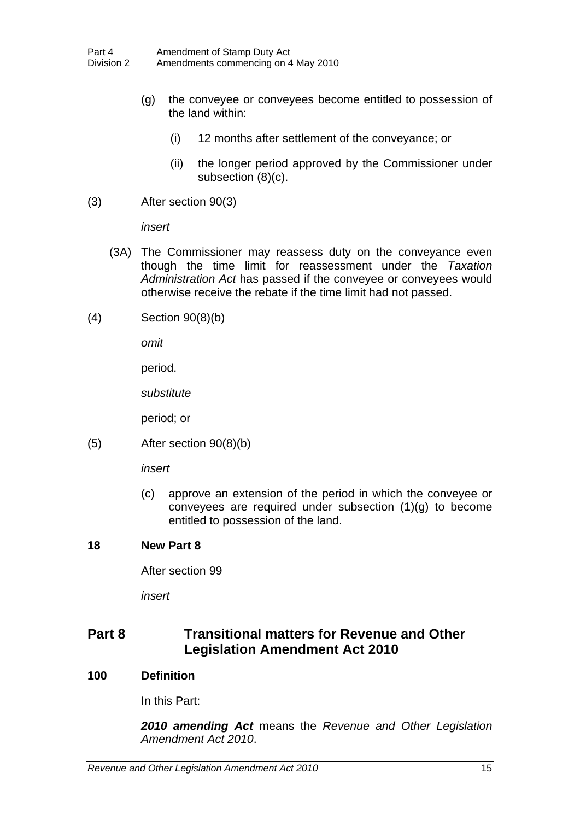- (g) the conveyee or conveyees become entitled to possession of the land within:
	- (i) 12 months after settlement of the conveyance; or
	- (ii) the longer period approved by the Commissioner under subsection (8)(c).
- (3) After section 90(3)

*insert* 

- (3A) The Commissioner may reassess duty on the conveyance even though the time limit for reassessment under the *Taxation Administration Act* has passed if the conveyee or conveyees would otherwise receive the rebate if the time limit had not passed.
- (4) Section 90(8)(b)

*omit* 

period.

*substitute* 

period; or

(5) After section 90(8)(b)

*insert* 

(c) approve an extension of the period in which the conveyee or conveyees are required under subsection (1)(g) to become entitled to possession of the land.

#### <span id="page-18-0"></span>**18 New Part 8**

After section 99

*insert* 

# **Part 8 Transitional matters for Revenue and Other Legislation Amendment Act 2010**

#### **100 Definition**

In this Part:

*2010 amending Act* means the *Revenue and Other Legislation Amendment Act 2010*.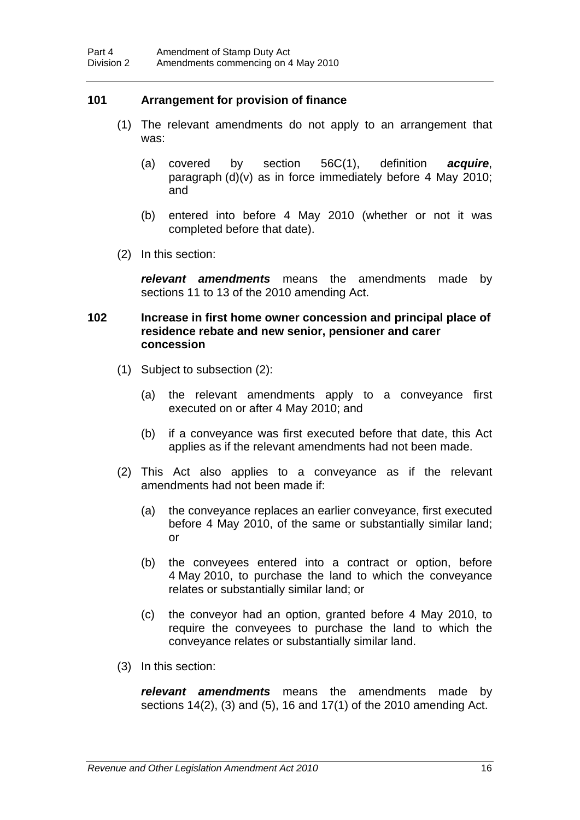#### **101 Arrangement for provision of finance**

- (1) The relevant amendments do not apply to an arrangement that was:
	- (a) covered by section 56C(1), definition *acquire*, paragraph (d)(v) as in force immediately before 4 May 2010; and
	- (b) entered into before 4 May 2010 (whether or not it was completed before that date).
- (2) In this section:

*relevant amendments* means the amendments made by sections [11](#page-8-1) to [13](#page-11-0) of the 2010 amending Act.

#### **102 Increase in first home owner concession and principal place of residence rebate and new senior, pensioner and carer concession**

- (1) Subject to subsection (2):
	- (a) the relevant amendments apply to a conveyance first executed on or after 4 May 2010; and
	- (b) if a conveyance was first executed before that date, this Act applies as if the relevant amendments had not been made.
- (2) This Act also applies to a conveyance as if the relevant amendments had not been made if:
	- (a) the conveyance replaces an earlier conveyance, first executed before 4 May 2010, of the same or substantially similar land; or
	- (b) the conveyees entered into a contract or option, before 4 May 2010, to purchase the land to which the conveyance relates or substantially similar land; or
	- (c) the conveyor had an option, granted before 4 May 2010, to require the conveyees to purchase the land to which the conveyance relates or substantially similar land.
- (3) In this section:

*relevant amendments* means the amendments made by sections [14\(](#page-11-1)2), (3) and (5), 16 and [17](#page-17-0)(1) of the 2010 amending Act.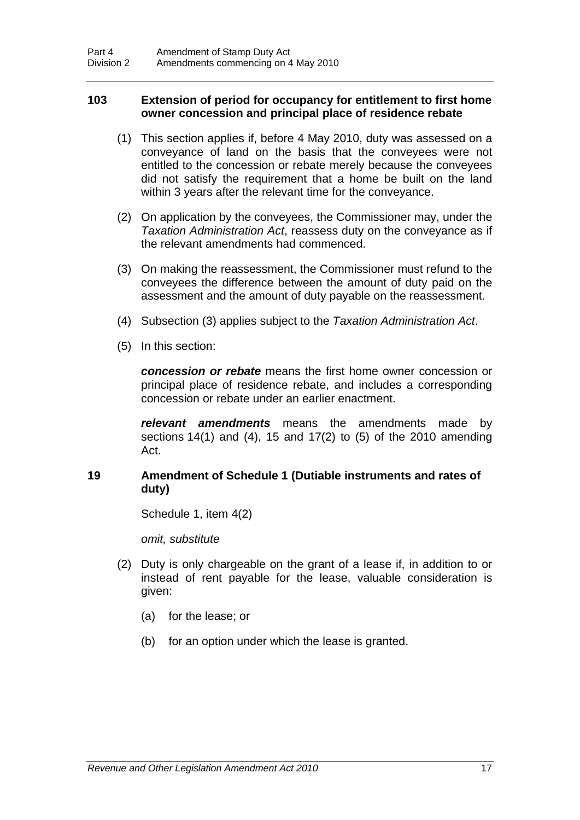#### **103 Extension of period for occupancy for entitlement to first home owner concession and principal place of residence rebate**

- (1) This section applies if, before 4 May 2010, duty was assessed on a conveyance of land on the basis that the conveyees were not entitled to the concession or rebate merely because the conveyees did not satisfy the requirement that a home be built on the land within 3 years after the relevant time for the conveyance.
- (2) On application by the conveyees, the Commissioner may, under the *Taxation Administration Act*, reassess duty on the conveyance as if the relevant amendments had commenced.
- (3) On making the reassessment, the Commissioner must refund to the conveyees the difference between the amount of duty paid on the assessment and the amount of duty payable on the reassessment.
- (4) Subsection (3) applies subject to the *Taxation Administration Act*.
- (5) In this section:

*concession or rebate* means the first home owner concession or principal place of residence rebate, and includes a corresponding concession or rebate under an earlier enactment.

*relevant amendments* means the amendments made by sections [14\(](#page-11-1)1) and (4), [15](#page-13-0) and [17](#page-17-0)(2) to (5) of the 2010 amending Act.

#### <span id="page-20-0"></span>**19 Amendment of Schedule 1 (Dutiable instruments and rates of duty)**

Schedule 1, item 4(2)

*omit, substitute* 

- (2) Duty is only chargeable on the grant of a lease if, in addition to or instead of rent payable for the lease, valuable consideration is given:
	- (a) for the lease; or
	- (b) for an option under which the lease is granted.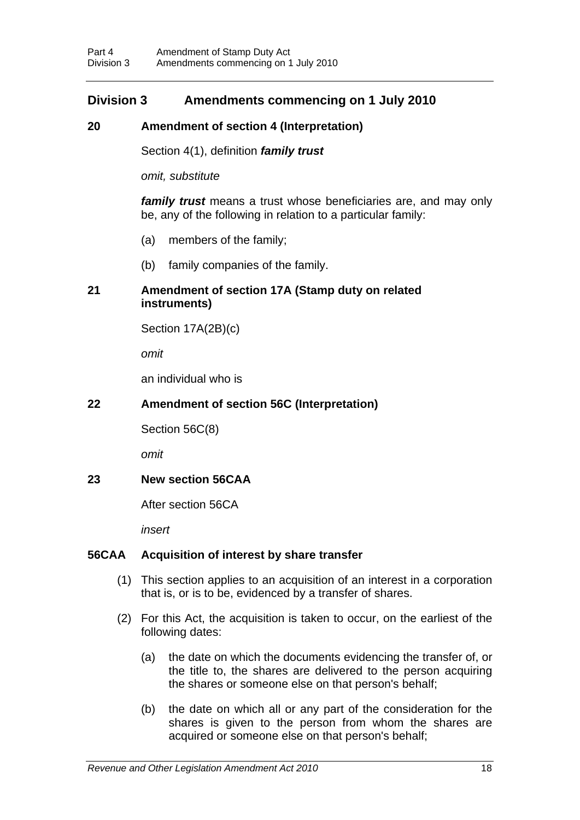## **Division 3 Amendments commencing on 1 July 2010**

### <span id="page-21-0"></span>**20 Amendment of section 4 (Interpretation)**

Section 4(1), definition *family trust* 

*omit, substitute* 

*family trust* means a trust whose beneficiaries are, and may only be, any of the following in relation to a particular family:

- (a) members of the family;
- (b) family companies of the family.

#### <span id="page-21-1"></span>**21 Amendment of section 17A (Stamp duty on related instruments)**

Section 17A(2B)(c)

*omit* 

an individual who is

### <span id="page-21-2"></span>**22 Amendment of section 56C (Interpretation)**

Section 56C(8)

*omit* 

#### <span id="page-21-3"></span>**23 New section 56CAA**

After section 56CA

*insert* 

#### **56CAA Acquisition of interest by share transfer**

- (1) This section applies to an acquisition of an interest in a corporation that is, or is to be, evidenced by a transfer of shares.
- (2) For this Act, the acquisition is taken to occur, on the earliest of the following dates:
	- (a) the date on which the documents evidencing the transfer of, or the title to, the shares are delivered to the person acquiring the shares or someone else on that person's behalf;
	- (b) the date on which all or any part of the consideration for the shares is given to the person from whom the shares are acquired or someone else on that person's behalf;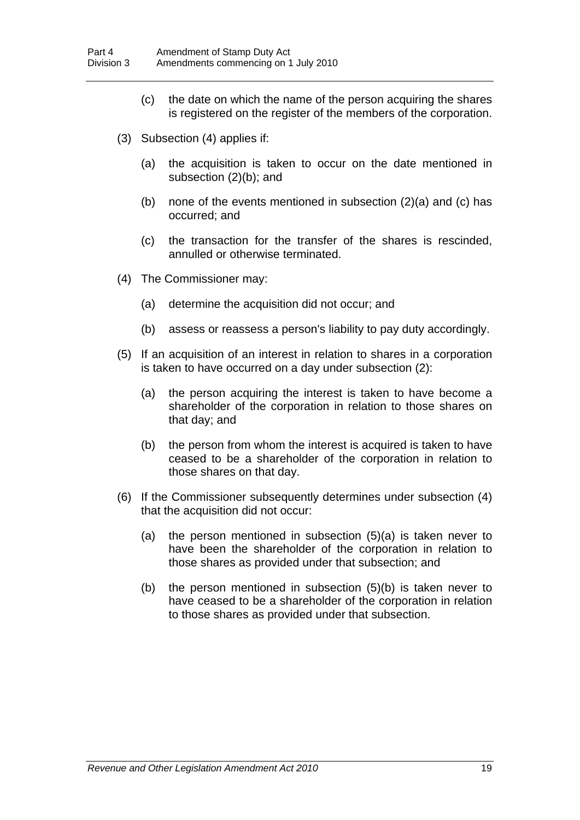- (c) the date on which the name of the person acquiring the shares is registered on the register of the members of the corporation.
- (3) Subsection (4) applies if:
	- (a) the acquisition is taken to occur on the date mentioned in subsection (2)(b); and
	- (b) none of the events mentioned in subsection (2)(a) and (c) has occurred; and
	- (c) the transaction for the transfer of the shares is rescinded, annulled or otherwise terminated.
- (4) The Commissioner may:
	- (a) determine the acquisition did not occur; and
	- (b) assess or reassess a person's liability to pay duty accordingly.
- (5) If an acquisition of an interest in relation to shares in a corporation is taken to have occurred on a day under subsection (2):
	- (a) the person acquiring the interest is taken to have become a shareholder of the corporation in relation to those shares on that day; and
	- (b) the person from whom the interest is acquired is taken to have ceased to be a shareholder of the corporation in relation to those shares on that day.
- (6) If the Commissioner subsequently determines under subsection (4) that the acquisition did not occur:
	- (a) the person mentioned in subsection (5)(a) is taken never to have been the shareholder of the corporation in relation to those shares as provided under that subsection; and
	- (b) the person mentioned in subsection (5)(b) is taken never to have ceased to be a shareholder of the corporation in relation to those shares as provided under that subsection.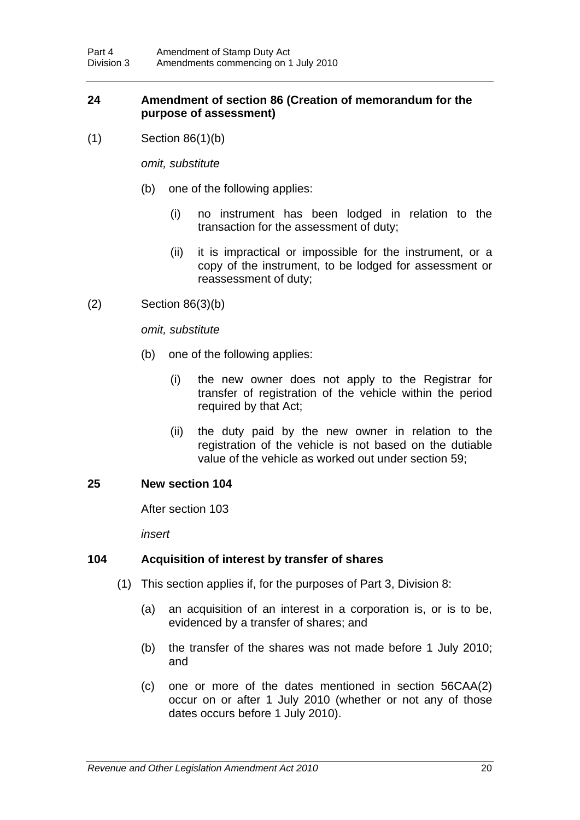#### <span id="page-23-0"></span>**24 Amendment of section 86 (Creation of memorandum for the purpose of assessment)**

(1) Section 86(1)(b)

*omit, substitute* 

- (b) one of the following applies:
	- (i) no instrument has been lodged in relation to the transaction for the assessment of duty;
	- (ii) it is impractical or impossible for the instrument, or a copy of the instrument, to be lodged for assessment or reassessment of duty;
- (2) Section 86(3)(b)

*omit, substitute* 

- (b) one of the following applies:
	- (i) the new owner does not apply to the Registrar for transfer of registration of the vehicle within the period required by that Act;
	- (ii) the duty paid by the new owner in relation to the registration of the vehicle is not based on the dutiable value of the vehicle as worked out under section 59;

#### <span id="page-23-1"></span>**25 New section 104**

After section 103

*insert* 

#### **104 Acquisition of interest by transfer of shares**

- (1) This section applies if, for the purposes of Part 3, Division 8:
	- (a) an acquisition of an interest in a corporation is, or is to be, evidenced by a transfer of shares; and
	- (b) the transfer of the shares was not made before 1 July 2010; and
	- (c) one or more of the dates mentioned in section 56CAA(2) occur on or after 1 July 2010 (whether or not any of those dates occurs before 1 July 2010).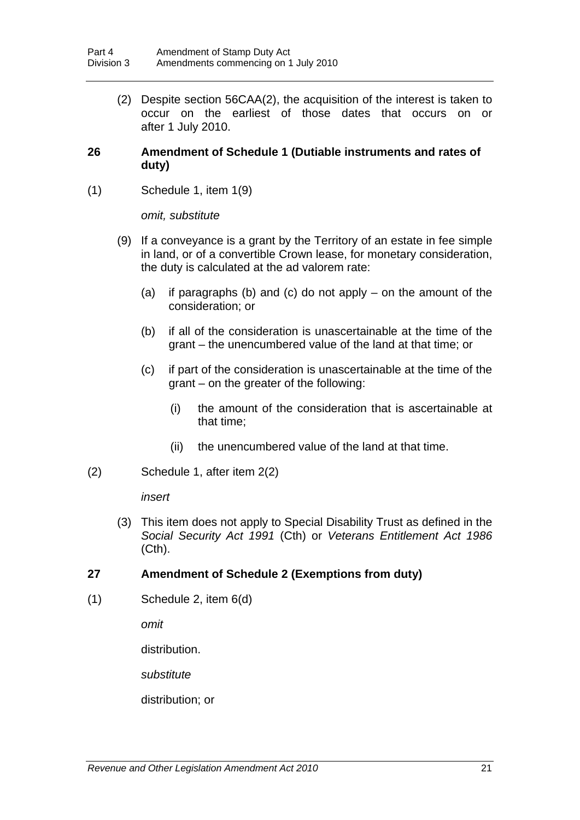(2) Despite section 56CAA(2), the acquisition of the interest is taken to occur on the earliest of those dates that occurs on or after 1 July 2010.

#### <span id="page-24-0"></span>**26 Amendment of Schedule 1 (Dutiable instruments and rates of duty)**

(1) Schedule 1, item 1(9)

*omit, substitute* 

- (9) If a conveyance is a grant by the Territory of an estate in fee simple in land, or of a convertible Crown lease, for monetary consideration, the duty is calculated at the ad valorem rate:
	- (a) if paragraphs (b) and (c) do not apply on the amount of the consideration; or
	- (b) if all of the consideration is unascertainable at the time of the grant – the unencumbered value of the land at that time; or
	- (c) if part of the consideration is unascertainable at the time of the grant – on the greater of the following:
		- (i) the amount of the consideration that is ascertainable at that time;
		- (ii) the unencumbered value of the land at that time.
- (2) Schedule 1, after item 2(2)

*insert* 

 (3) This item does not apply to Special Disability Trust as defined in the *Social Security Act 1991* (Cth) or *Veterans Entitlement Act 1986* (Cth).

#### <span id="page-24-1"></span>**27 Amendment of Schedule 2 (Exemptions from duty)**

(1) Schedule 2, item 6(d)

*omit* 

distribution.

*substitute* 

distribution; or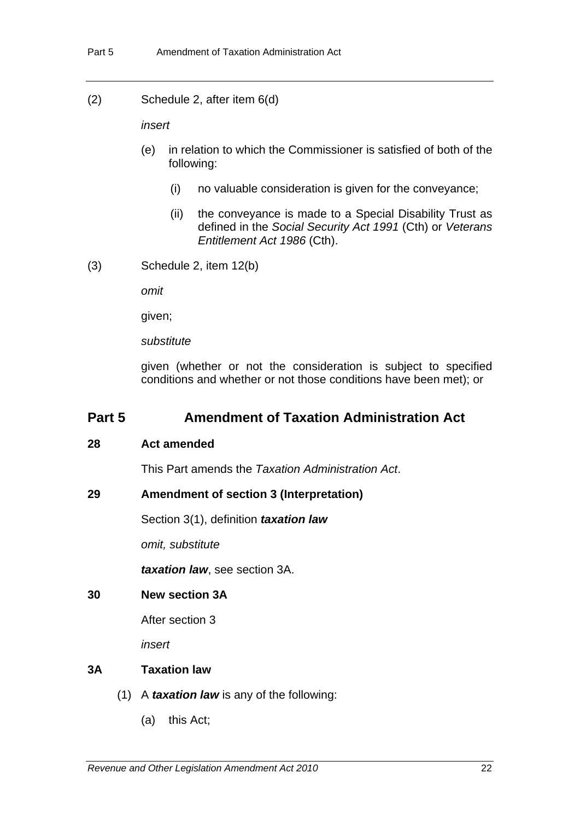(2) Schedule 2, after item 6(d)

*insert* 

- (e) in relation to which the Commissioner is satisfied of both of the following:
	- (i) no valuable consideration is given for the conveyance;
	- (ii) the conveyance is made to a Special Disability Trust as defined in the *Social Security Act 1991* (Cth) or *Veterans Entitlement Act 1986* (Cth).
- (3) Schedule 2, item 12(b)

*omit* 

given;

*substitute* 

given (whether or not the consideration is subject to specified conditions and whether or not those conditions have been met); or

### **Part 5 Amendment of Taxation Administration Act**

#### <span id="page-25-0"></span>**28 Act amended**

This Part amends the *Taxation Administration Act*.

#### <span id="page-25-1"></span>**29 Amendment of section 3 (Interpretation)**

Section 3(1), definition *taxation law*

*omit, substitute* 

*taxation law*, see section 3A.

#### <span id="page-25-2"></span>**30 New section 3A**

After section 3

*insert* 

#### **3A Taxation law**

- (1) A *taxation law* is any of the following:
	- (a) this Act;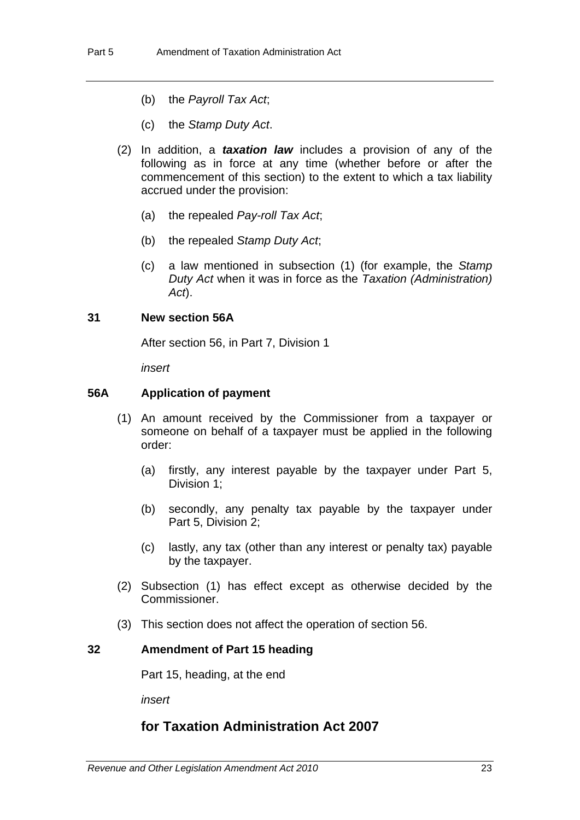- (b) the *Payroll Tax Act*;
- (c) the *Stamp Duty Act*.
- (2) In addition, a *taxation law* includes a provision of any of the following as in force at any time (whether before or after the commencement of this section) to the extent to which a tax liability accrued under the provision:
	- (a) the repealed *Pay-roll Tax Act*;
	- (b) the repealed *Stamp Duty Act*;
	- (c) a law mentioned in subsection (1) (for example, the *Stamp Duty Act* when it was in force as the *Taxation (Administration) Act*).

#### <span id="page-26-0"></span>**31 New section 56A**

After section 56, in Part 7, Division 1

*insert* 

#### **56A Application of payment**

- (1) An amount received by the Commissioner from a taxpayer or someone on behalf of a taxpayer must be applied in the following order:
	- (a) firstly, any interest payable by the taxpayer under Part 5, Division 1;
	- (b) secondly, any penalty tax payable by the taxpayer under Part 5, Division 2;
	- (c) lastly, any tax (other than any interest or penalty tax) payable by the taxpayer.
- (2) Subsection (1) has effect except as otherwise decided by the Commissioner.
- (3) This section does not affect the operation of section 56.

#### <span id="page-26-1"></span>**32 Amendment of Part 15 heading**

Part 15, heading, at the end

*insert* 

# **for Taxation Administration Act 2007**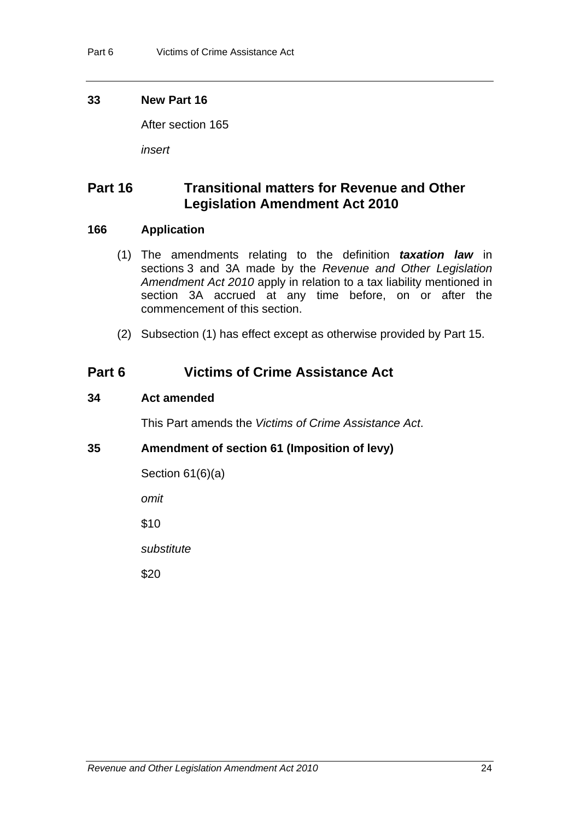#### <span id="page-27-0"></span>**33 New Part 16**

After section 165

*insert* 

# **Part 16 Transitional matters for Revenue and Other Legislation Amendment Act 2010**

#### **166 Application**

- (1) The amendments relating to the definition *taxation law* in sections 3 and 3A made by the *Revenue and Other Legislation Amendment Act 2010* apply in relation to a tax liability mentioned in section 3A accrued at any time before, on or after the commencement of this section.
- (2) Subsection (1) has effect except as otherwise provided by Part 15.

## **Part 6 Victims of Crime Assistance Act**

#### <span id="page-27-1"></span>**34 Act amended**

This Part amends the *Victims of Crime Assistance Act*.

#### <span id="page-27-2"></span>**35 Amendment of section 61 (Imposition of levy)**

Section 61(6)(a)

*omit* 

\$10

*substitute* 

\$20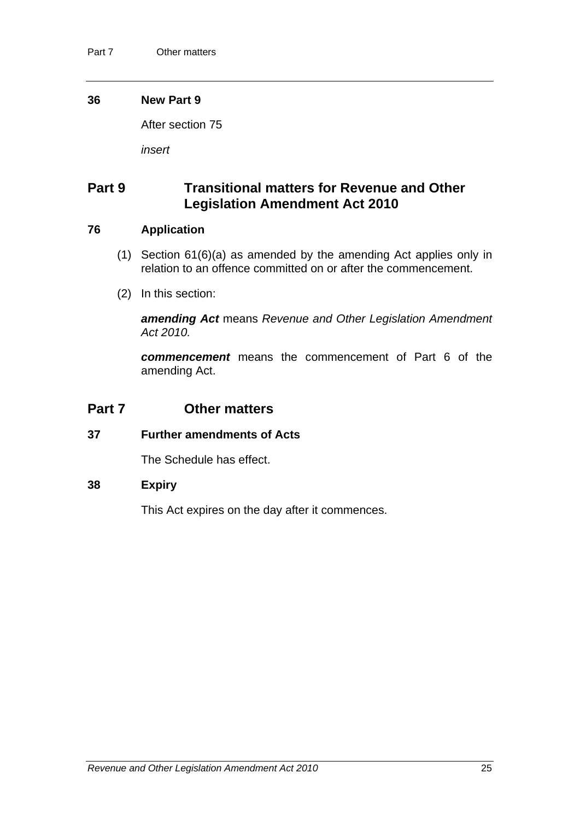#### <span id="page-28-0"></span>**36 New Part 9**

After section 75

*insert*

# **Part 9 Transitional matters for Revenue and Other Legislation Amendment Act 2010**

#### **76 Application**

- (1) Section 61(6)(a) as amended by the amending Act applies only in relation to an offence committed on or after the commencement.
- (2) In this section:

*amending Act* means *Revenue and Other Legislation Amendment Act 2010.*

*commencement* means the commencement of Part 6 of the amending Act.

### **Part 7 Other matters**

#### <span id="page-28-1"></span>**37 Further amendments of Acts**

The Schedule has effect.

#### <span id="page-28-2"></span>**38 Expiry**

This Act expires on the day after it commences.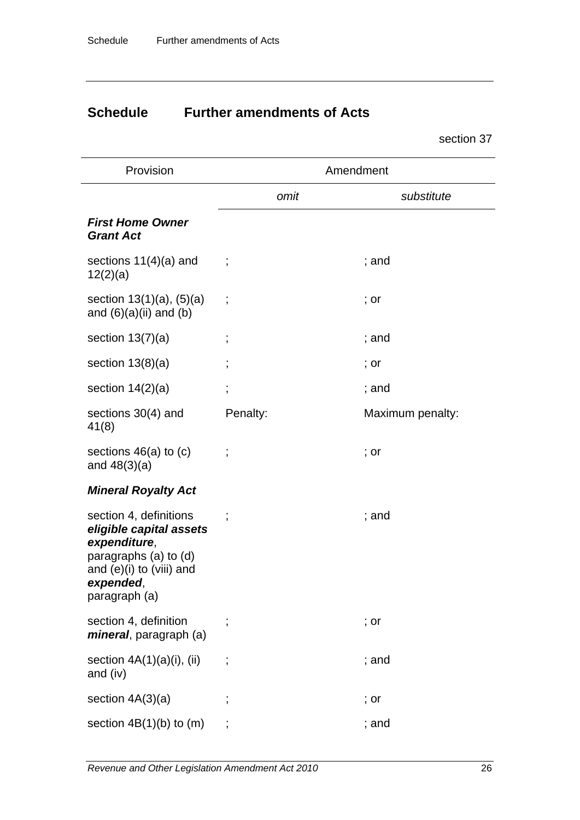# **Schedule Further amendments of Acts**

section [37](#page-28-1) 

| Provision                                                                                                                                                | Amendment                |                  |  |
|----------------------------------------------------------------------------------------------------------------------------------------------------------|--------------------------|------------------|--|
|                                                                                                                                                          | omit                     | substitute       |  |
| <b>First Home Owner</b><br><b>Grant Act</b>                                                                                                              |                          |                  |  |
| sections $11(4)(a)$ and<br>12(2)(a)                                                                                                                      |                          | $:$ and          |  |
| section $13(1)(a)$ , $(5)(a)$<br>and $(6)(a)(ii)$ and $(b)$                                                                                              | $\cdot$                  | ; or             |  |
| section $13(7)(a)$                                                                                                                                       | $\ddot{\phantom{0}}$     | ; and            |  |
| section $13(8)(a)$                                                                                                                                       | $\overline{\phantom{a}}$ | ; or             |  |
| section $14(2)(a)$                                                                                                                                       | $\overline{\phantom{a}}$ | ; and            |  |
| sections 30(4) and<br>41(8)                                                                                                                              | Penalty:                 | Maximum penalty: |  |
| sections $46(a)$ to $(c)$<br>and $48(3)(a)$                                                                                                              |                          | ; or             |  |
| <b>Mineral Royalty Act</b>                                                                                                                               |                          |                  |  |
| section 4, definitions<br>eligible capital assets<br>expenditure,<br>paragraphs (a) to (d)<br>and $(e)(i)$ to $(viii)$ and<br>expended,<br>paragraph (a) |                          | ; and            |  |
| section 4, definition<br><i>mineral</i> , paragraph (a)                                                                                                  |                          | ; or             |  |
| section $4A(1)(a)(i)$ , (ii)<br>and (iv)                                                                                                                 | $\vdots$                 | ; and            |  |
| section $4A(3)(a)$                                                                                                                                       |                          | ; or             |  |
| section $4B(1)(b)$ to $(m)$                                                                                                                              | $\vdots$                 | ; and            |  |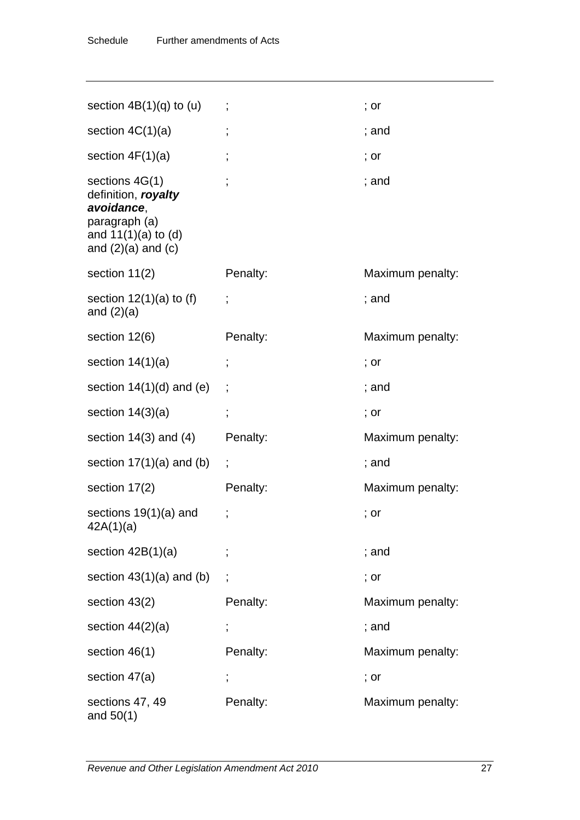| section $4B(1)(q)$ to $(u)$                                                                                                 |          | ; or             |
|-----------------------------------------------------------------------------------------------------------------------------|----------|------------------|
| section $4C(1)(a)$                                                                                                          |          | ; and            |
| section $4F(1)(a)$                                                                                                          |          | ; or             |
| sections $4G(1)$<br>definition, royalty<br>avoidance,<br>paragraph (a)<br>and $11(1)(a)$ to $(d)$<br>and $(2)(a)$ and $(c)$ |          | ; and            |
| section $11(2)$                                                                                                             | Penalty: | Maximum penalty: |
| section $12(1)(a)$ to (f)<br>and $(2)(a)$                                                                                   |          | ; and            |
| section 12(6)                                                                                                               | Penalty: | Maximum penalty: |
| section $14(1)(a)$                                                                                                          |          | ; or             |
| section $14(1)(d)$ and (e)                                                                                                  |          | ; and            |
| section $14(3)(a)$                                                                                                          |          | ; or             |
| section $14(3)$ and $(4)$                                                                                                   | Penalty: | Maximum penalty: |
| section $17(1)(a)$ and (b)                                                                                                  |          | ; and            |
| section 17(2)                                                                                                               | Penalty: | Maximum penalty: |
| sections $19(1)(a)$ and<br>42A(1)(a)                                                                                        |          | ; or             |
| section $42B(1)(a)$                                                                                                         |          | ; and            |
| section $43(1)(a)$ and (b)                                                                                                  |          | ; or             |
| section 43(2)                                                                                                               | Penalty: | Maximum penalty: |
| section $44(2)(a)$                                                                                                          |          | ; and            |
| section 46(1)                                                                                                               | Penalty: | Maximum penalty: |
| section 47(a)                                                                                                               | ,        | ; or             |
| sections 47, 49<br>and $50(1)$                                                                                              | Penalty: | Maximum penalty: |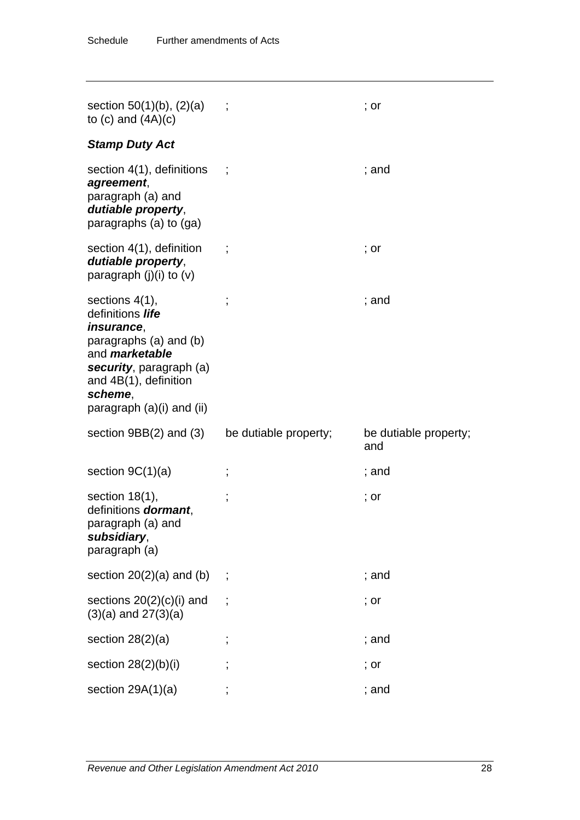| section $50(1)(b)$ , $(2)(a)$<br>to $(c)$ and $(4A)(c)$                                                                                                              |                       | ; or                         |
|----------------------------------------------------------------------------------------------------------------------------------------------------------------------|-----------------------|------------------------------|
| <b>Stamp Duty Act</b>                                                                                                                                                |                       |                              |
| section 4(1), definitions<br>agreement,<br>paragraph (a) and<br>dutiable property,<br>paragraphs (a) to (ga)                                                         |                       | ; and                        |
| section 4(1), definition<br>dutiable property,<br>paragraph $(j)(i)$ to $(v)$                                                                                        |                       | ; or                         |
| sections $4(1)$ ,<br>definitions life<br><i>insurance,</i><br>paragraphs (a) and (b)<br>and <i>marketable</i><br>security, paragraph (a)<br>and $4B(1)$ , definition |                       | ; and                        |
| scheme,<br>paragraph (a)(i) and (ii)                                                                                                                                 |                       |                              |
| section $9BB(2)$ and $(3)$                                                                                                                                           | be dutiable property; | be dutiable property;<br>and |
| section $9C(1)(a)$                                                                                                                                                   |                       | ; and                        |
| section $18(1)$ ,<br>definitions <b>dormant</b> ,<br>paragraph (a) and<br>subsidiary,<br>paragraph (a)                                                               | ,                     | ; or                         |
| section $20(2)(a)$ and $(b)$ ;                                                                                                                                       |                       | ; and                        |
| sections $20(2)(c)(i)$ and<br>$(3)(a)$ and $27(3)(a)$                                                                                                                |                       | ; or                         |
| section $28(2)(a)$                                                                                                                                                   |                       | ; and                        |
| section $28(2)(b)(i)$                                                                                                                                                |                       | ; or                         |